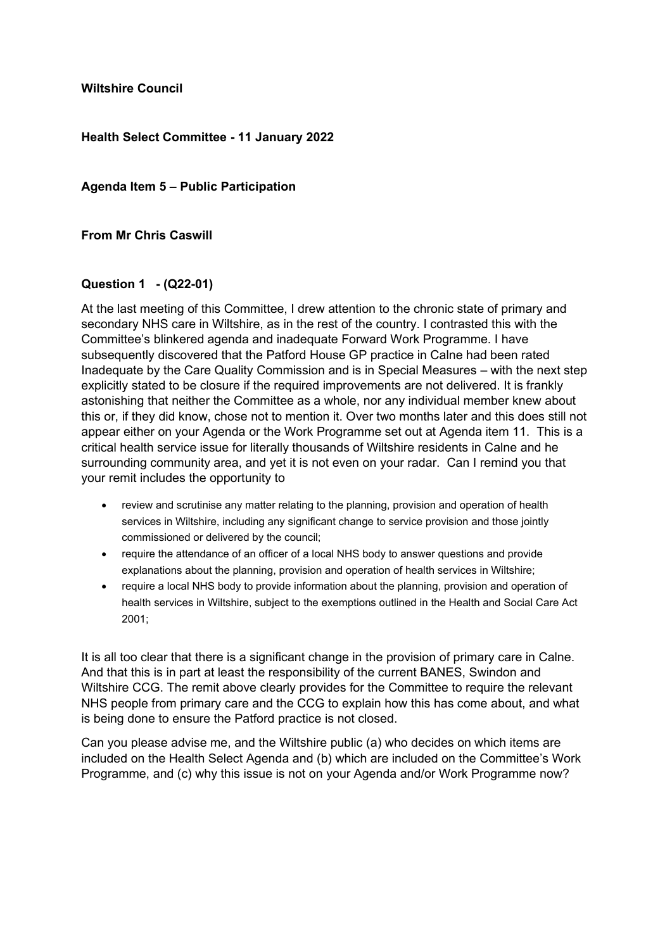**Wiltshire Council**

### **Health Select Committee - 11 January 2022**

**Agenda Item 5 – Public Participation**

**From Mr Chris Caswill**

## **Question 1 - (Q22-01)**

At the last meeting of this Committee, I drew attention to the chronic state of primary and secondary NHS care in Wiltshire, as in the rest of the country. I contrasted this with the Committee's blinkered agenda and inadequate Forward Work Programme. I have subsequently discovered that the Patford House GP practice in Calne had been rated Inadequate by the Care Quality Commission and is in Special Measures – with the next step explicitly stated to be closure if the required improvements are not delivered. It is frankly astonishing that neither the Committee as a whole, nor any individual member knew about this or, if they did know, chose not to mention it. Over two months later and this does still not appear either on your Agenda or the Work Programme set out at Agenda item 11. This is a critical health service issue for literally thousands of Wiltshire residents in Calne and he surrounding community area, and yet it is not even on your radar. Can I remind you that your remit includes the opportunity to

- review and scrutinise any matter relating to the planning, provision and operation of health services in Wiltshire, including any significant change to service provision and those jointly commissioned or delivered by the council;
- require the attendance of an officer of a local NHS body to answer questions and provide explanations about the planning, provision and operation of health services in Wiltshire;
- require a local NHS body to provide information about the planning, provision and operation of health services in Wiltshire, subject to the exemptions outlined in the Health and Social Care Act 2001;

It is all too clear that there is a significant change in the provision of primary care in Calne. And that this is in part at least the responsibility of the current BANES, Swindon and Wiltshire CCG. The remit above clearly provides for the Committee to require the relevant NHS people from primary care and the CCG to explain how this has come about, and what is being done to ensure the Patford practice is not closed.

Can you please advise me, and the Wiltshire public (a) who decides on which items are included on the Health Select Agenda and (b) which are included on the Committee's Work Programme, and (c) why this issue is not on your Agenda and/or Work Programme now?